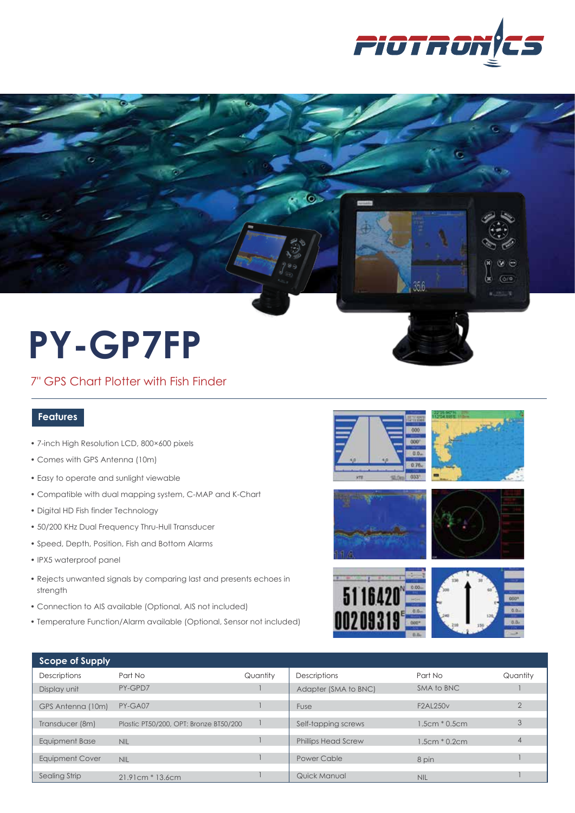



# **PY-GP7FP**

7" GPS Chart Plotter with Fish Finder

### **Features**

- 7-inch High Resolution LCD, 800×600 pixels
- Comes with GPS Antenna (10m)
- Easy to operate and sunlight viewable
- Compatible with dual mapping system, C-MAP and K-Chart
- Digital HD Fish finder Technology
- 50/200 KHz Dual Frequency Thru-Hull Transducer
- Speed, Depth, Position, Fish and Bottom Alarms
- IPX5 waterproof panel
- Rejects unwanted signals by comparing last and presents echoes in strength
- Connection to AIS available (Optional, AIS not included)
- Temperature Function/Alarm available (Optional, Sensor not included)







| Scope of Supply     |                                        |          |                            |                 |          |
|---------------------|----------------------------------------|----------|----------------------------|-----------------|----------|
| <b>Descriptions</b> | Part No                                | Quantity | <b>Descriptions</b>        | Part No         | Quantity |
| Display unit        | PY-GPD7                                |          | Adapter (SMA to BNC)       | SMA to BNC      |          |
| GPS Antenna (10m)   | PY-GA07                                |          | Fuse                       | <b>F2AL250v</b> |          |
| Transducer (8m)     | Plastic PT50/200, OPT: Bronze BT50/200 |          | Self-tapping screws        | $1.5cm * 0.5cm$ | 3        |
| Equipment Base      | <b>NIL</b>                             |          | <b>Phillips Head Screw</b> | $1.5cm * 0.2cm$ |          |
| Equipment Cover     | <b>NIL</b>                             |          | Power Cable                | 8 pin           |          |
| Sealing Strip       | $21.91cm * 13.6cm$                     |          | Quick Manual               | <b>NIL</b>      |          |